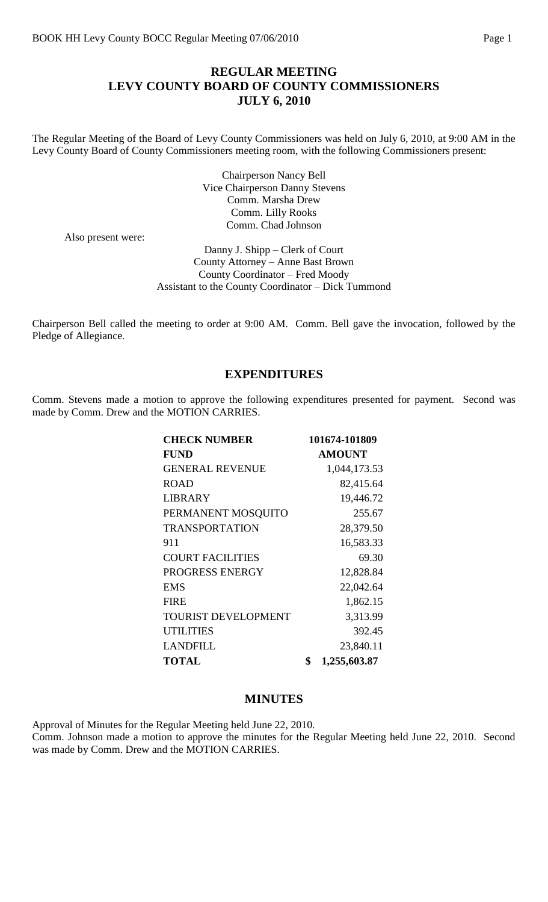#### **REGULAR MEETING LEVY COUNTY BOARD OF COUNTY COMMISSIONERS JULY 6, 2010**

The Regular Meeting of the Board of Levy County Commissioners was held on July 6, 2010, at 9:00 AM in the Levy County Board of County Commissioners meeting room, with the following Commissioners present:

> Chairperson Nancy Bell Vice Chairperson Danny Stevens Comm. Marsha Drew Comm. Lilly Rooks Comm. Chad Johnson

Also present were:

Danny J. Shipp – Clerk of Court County Attorney – Anne Bast Brown County Coordinator – Fred Moody Assistant to the County Coordinator – Dick Tummond

Chairperson Bell called the meeting to order at 9:00 AM. Comm. Bell gave the invocation, followed by the Pledge of Allegiance.

#### **EXPENDITURES**

Comm. Stevens made a motion to approve the following expenditures presented for payment. Second was made by Comm. Drew and the MOTION CARRIES.

| <b>CHECK NUMBER</b>     | 101674-101809      |
|-------------------------|--------------------|
| <b>FUND</b>             | <b>AMOUNT</b>      |
| <b>GENERAL REVENUE</b>  | 1,044,173.53       |
| <b>ROAD</b>             | 82,415.64          |
| <b>LIBRARY</b>          | 19,446.72          |
| PERMANENT MOSQUITO      | 255.67             |
| <b>TRANSPORTATION</b>   | 28,379.50          |
| 911                     | 16,583.33          |
| <b>COURT FACILITIES</b> | 69.30              |
| PROGRESS ENERGY         | 12,828.84          |
| <b>EMS</b>              | 22,042.64          |
| <b>FIRE</b>             | 1,862.15           |
| TOURIST DEVELOPMENT     | 3,313.99           |
| <b>UTILITIES</b>        | 392.45             |
| <b>LANDFILL</b>         | 23,840.11          |
| <b>TOTAL</b>            | \$<br>1,255,603.87 |

#### **MINUTES**

Approval of Minutes for the Regular Meeting held June 22, 2010. Comm. Johnson made a motion to approve the minutes for the Regular Meeting held June 22, 2010. Second was made by Comm. Drew and the MOTION CARRIES.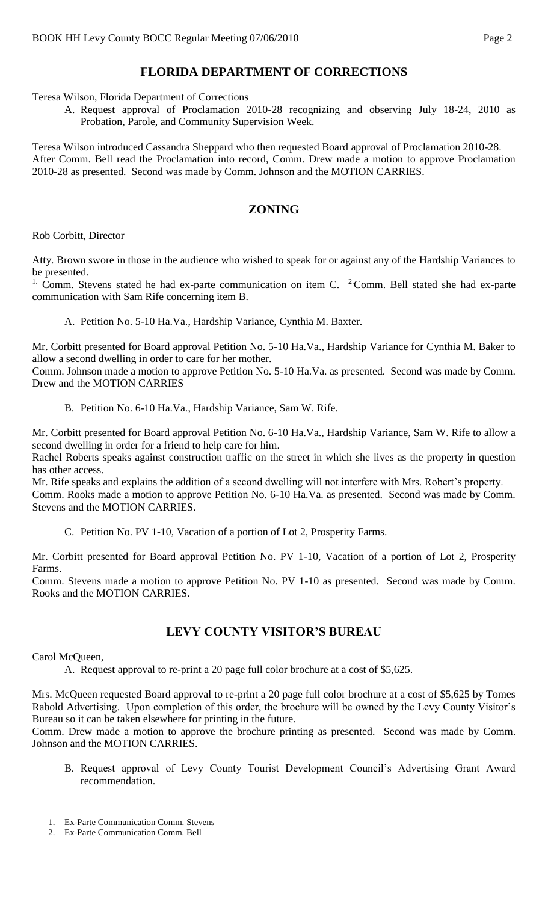# **FLORIDA DEPARTMENT OF CORRECTIONS**

Teresa Wilson, Florida Department of Corrections

A. Request approval of Proclamation 2010-28 recognizing and observing July 18-24, 2010 as Probation, Parole, and Community Supervision Week.

Teresa Wilson introduced Cassandra Sheppard who then requested Board approval of Proclamation 2010-28. After Comm. Bell read the Proclamation into record, Comm. Drew made a motion to approve Proclamation 2010-28 as presented. Second was made by Comm. Johnson and the MOTION CARRIES.

#### **ZONING**

Rob Corbitt, Director

Atty. Brown swore in those in the audience who wished to speak for or against any of the Hardship Variances to be presented.

<sup>1.</sup> Comm. Stevens stated he had ex-parte communication on item C.  $2$ Comm. Bell stated she had ex-parte communication with Sam Rife concerning item B.

A. Petition No. 5-10 Ha.Va., Hardship Variance, Cynthia M. Baxter.

Mr. Corbitt presented for Board approval Petition No. 5-10 Ha.Va., Hardship Variance for Cynthia M. Baker to allow a second dwelling in order to care for her mother.

Comm. Johnson made a motion to approve Petition No. 5-10 Ha.Va. as presented. Second was made by Comm. Drew and the MOTION CARRIES

B. Petition No. 6-10 Ha.Va., Hardship Variance, Sam W. Rife.

Mr. Corbitt presented for Board approval Petition No. 6-10 Ha.Va., Hardship Variance, Sam W. Rife to allow a second dwelling in order for a friend to help care for him.

Rachel Roberts speaks against construction traffic on the street in which she lives as the property in question has other access.

Mr. Rife speaks and explains the addition of a second dwelling will not interfere with Mrs. Robert's property. Comm. Rooks made a motion to approve Petition No. 6-10 Ha.Va. as presented. Second was made by Comm. Stevens and the MOTION CARRIES.

C. Petition No. PV 1-10, Vacation of a portion of Lot 2, Prosperity Farms.

Mr. Corbitt presented for Board approval Petition No. PV 1-10, Vacation of a portion of Lot 2, Prosperity Farms.

Comm. Stevens made a motion to approve Petition No. PV 1-10 as presented. Second was made by Comm. Rooks and the MOTION CARRIES.

#### **LEVY COUNTY VISITOR'S BUREAU**

Carol McQueen,

 $\overline{a}$ 

A. Request approval to re-print a 20 page full color brochure at a cost of \$5,625.

Mrs. McQueen requested Board approval to re-print a 20 page full color brochure at a cost of \$5,625 by Tomes Rabold Advertising. Upon completion of this order, the brochure will be owned by the Levy County Visitor's Bureau so it can be taken elsewhere for printing in the future.

Comm. Drew made a motion to approve the brochure printing as presented. Second was made by Comm. Johnson and the MOTION CARRIES.

B. Request approval of Levy County Tourist Development Council's Advertising Grant Award recommendation.

<sup>1.</sup> Ex-Parte Communication Comm. Stevens

<sup>2.</sup> Ex-Parte Communication Comm. Bell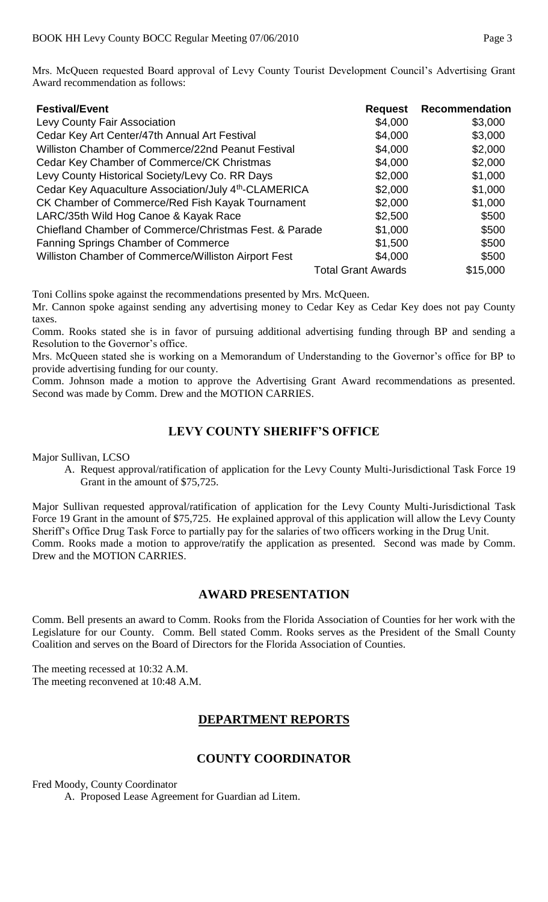Mrs. McQueen requested Board approval of Levy County Tourist Development Council's Advertising Grant Award recommendation as follows:

| <b>Festival/Event</b>                                             | <b>Request</b> | <b>Recommendation</b> |
|-------------------------------------------------------------------|----------------|-----------------------|
| Levy County Fair Association                                      | \$4,000        | \$3,000               |
| Cedar Key Art Center/47th Annual Art Festival                     | \$4,000        | \$3,000               |
| Williston Chamber of Commerce/22nd Peanut Festival                | \$4,000        | \$2,000               |
| Cedar Key Chamber of Commerce/CK Christmas                        | \$4,000        | \$2,000               |
| Levy County Historical Society/Levy Co. RR Days                   | \$2,000        | \$1,000               |
| Cedar Key Aquaculture Association/July 4 <sup>th</sup> -CLAMERICA | \$2,000        | \$1,000               |
| CK Chamber of Commerce/Red Fish Kayak Tournament                  | \$2,000        | \$1,000               |
| LARC/35th Wild Hog Canoe & Kayak Race                             | \$2,500        | \$500                 |
| Chiefland Chamber of Commerce/Christmas Fest. & Parade            | \$1,000        | \$500                 |
| <b>Fanning Springs Chamber of Commerce</b>                        | \$1,500        | \$500                 |
| Williston Chamber of Commerce/Williston Airport Fest              | \$4,000        | \$500                 |
| <b>Total Grant Awards</b>                                         |                | \$15,000              |

Toni Collins spoke against the recommendations presented by Mrs. McQueen.

Mr. Cannon spoke against sending any advertising money to Cedar Key as Cedar Key does not pay County taxes.

Comm. Rooks stated she is in favor of pursuing additional advertising funding through BP and sending a Resolution to the Governor's office.

Mrs. McQueen stated she is working on a Memorandum of Understanding to the Governor's office for BP to provide advertising funding for our county.

Comm. Johnson made a motion to approve the Advertising Grant Award recommendations as presented. Second was made by Comm. Drew and the MOTION CARRIES.

# **LEVY COUNTY SHERIFF'S OFFICE**

Major Sullivan, LCSO

A. Request approval/ratification of application for the Levy County Multi-Jurisdictional Task Force 19 Grant in the amount of \$75,725.

Major Sullivan requested approval/ratification of application for the Levy County Multi-Jurisdictional Task Force 19 Grant in the amount of \$75,725. He explained approval of this application will allow the Levy County Sheriff's Office Drug Task Force to partially pay for the salaries of two officers working in the Drug Unit. Comm. Rooks made a motion to approve/ratify the application as presented. Second was made by Comm. Drew and the MOTION CARRIES.

#### **AWARD PRESENTATION**

Comm. Bell presents an award to Comm. Rooks from the Florida Association of Counties for her work with the Legislature for our County. Comm. Bell stated Comm. Rooks serves as the President of the Small County Coalition and serves on the Board of Directors for the Florida Association of Counties.

The meeting recessed at 10:32 A.M. The meeting reconvened at 10:48 A.M.

## **DEPARTMENT REPORTS**

## **COUNTY COORDINATOR**

Fred Moody, County Coordinator

A. Proposed Lease Agreement for Guardian ad Litem.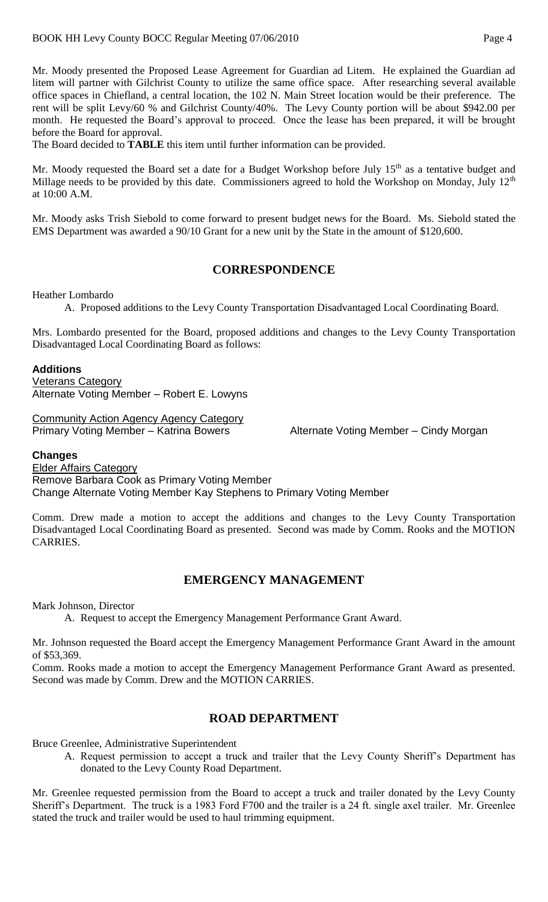Mr. Moody presented the Proposed Lease Agreement for Guardian ad Litem. He explained the Guardian ad litem will partner with Gilchrist County to utilize the same office space. After researching several available office spaces in Chiefland, a central location, the 102 N. Main Street location would be their preference. The rent will be split Levy/60 % and Gilchrist County/40%. The Levy County portion will be about \$942.00 per month. He requested the Board's approval to proceed. Once the lease has been prepared, it will be brought before the Board for approval.

The Board decided to **TABLE** this item until further information can be provided.

Mr. Moody requested the Board set a date for a Budget Workshop before July 15<sup>th</sup> as a tentative budget and Millage needs to be provided by this date. Commissioners agreed to hold the Workshop on Monday, July 12<sup>th</sup> at 10:00 A.M.

Mr. Moody asks Trish Siebold to come forward to present budget news for the Board. Ms. Siebold stated the EMS Department was awarded a 90/10 Grant for a new unit by the State in the amount of \$120,600.

#### **CORRESPONDENCE**

Heather Lombardo

A. Proposed additions to the Levy County Transportation Disadvantaged Local Coordinating Board.

Mrs. Lombardo presented for the Board, proposed additions and changes to the Levy County Transportation Disadvantaged Local Coordinating Board as follows:

#### **Additions**

Veterans Category Alternate Voting Member – Robert E. Lowyns

Community Action Agency Agency Category Primary Voting Member – Katrina Bowers **Alternate Voting Member – Cindy Morgan** 

#### **Changes**

Elder Affairs Category Remove Barbara Cook as Primary Voting Member Change Alternate Voting Member Kay Stephens to Primary Voting Member

Comm. Drew made a motion to accept the additions and changes to the Levy County Transportation Disadvantaged Local Coordinating Board as presented. Second was made by Comm. Rooks and the MOTION CARRIES.

## **EMERGENCY MANAGEMENT**

Mark Johnson, Director

A. Request to accept the Emergency Management Performance Grant Award.

Mr. Johnson requested the Board accept the Emergency Management Performance Grant Award in the amount of \$53,369.

Comm. Rooks made a motion to accept the Emergency Management Performance Grant Award as presented. Second was made by Comm. Drew and the MOTION CARRIES.

## **ROAD DEPARTMENT**

Bruce Greenlee, Administrative Superintendent

A. Request permission to accept a truck and trailer that the Levy County Sheriff's Department has donated to the Levy County Road Department.

Mr. Greenlee requested permission from the Board to accept a truck and trailer donated by the Levy County Sheriff's Department. The truck is a 1983 Ford F700 and the trailer is a 24 ft. single axel trailer. Mr. Greenlee stated the truck and trailer would be used to haul trimming equipment.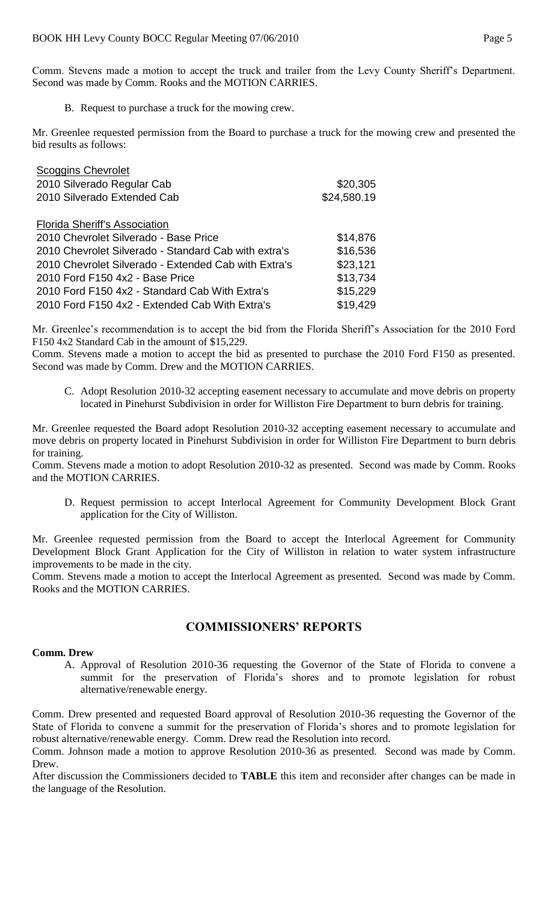Comm. Stevens made a motion to accept the truck and trailer from the Levy County Sheriff's Department. Second was made by Comm. Rooks and the MOTION CARRIES.

B. Request to purchase a truck for the mowing crew.

Mr. Greenlee requested permission from the Board to purchase a truck for the mowing crew and presented the bid results as follows:

| \$20,305    |
|-------------|
| \$24,580.19 |
|             |
|             |
| \$14,876    |
| \$16,536    |
| \$23,121    |
| \$13,734    |
| \$15,229    |
| \$19,429    |
|             |

Mr. Greenlee's recommendation is to accept the bid from the Florida Sheriff's Association for the 2010 Ford F150 4x2 Standard Cab in the amount of \$15,229.

Comm. Stevens made a motion to accept the bid as presented to purchase the 2010 Ford F150 as presented. Second was made by Comm. Drew and the MOTION CARRIES.

C. Adopt Resolution 2010-32 accepting easement necessary to accumulate and move debris on property located in Pinehurst Subdivision in order for Williston Fire Department to burn debris for training.

Mr. Greenlee requested the Board adopt Resolution 2010-32 accepting easement necessary to accumulate and move debris on property located in Pinehurst Subdivision in order for Williston Fire Department to burn debris for training.

Comm. Stevens made a motion to adopt Resolution 2010-32 as presented. Second was made by Comm. Rooks and the MOTION CARRIES.

D. Request permission to accept Interlocal Agreement for Community Development Block Grant application for the City of Williston.

Mr. Greenlee requested permission from the Board to accept the Interlocal Agreement for Community Development Block Grant Application for the City of Williston in relation to water system infrastructure improvements to be made in the city.

Comm. Stevens made a motion to accept the Interlocal Agreement as presented. Second was made by Comm. Rooks and the MOTION CARRIES.

#### **COMMISSIONERS' REPORTS**

#### **Comm. Drew**

A. Approval of Resolution 2010-36 requesting the Governor of the State of Florida to convene a summit for the preservation of Florida's shores and to promote legislation for robust alternative/renewable energy.

Comm. Drew presented and requested Board approval of Resolution 2010-36 requesting the Governor of the State of Florida to convene a summit for the preservation of Florida's shores and to promote legislation for robust alternative/renewable energy. Comm. Drew read the Resolution into record.

Comm. Johnson made a motion to approve Resolution 2010-36 as presented. Second was made by Comm. Drew.

After discussion the Commissioners decided to **TABLE** this item and reconsider after changes can be made in the language of the Resolution.